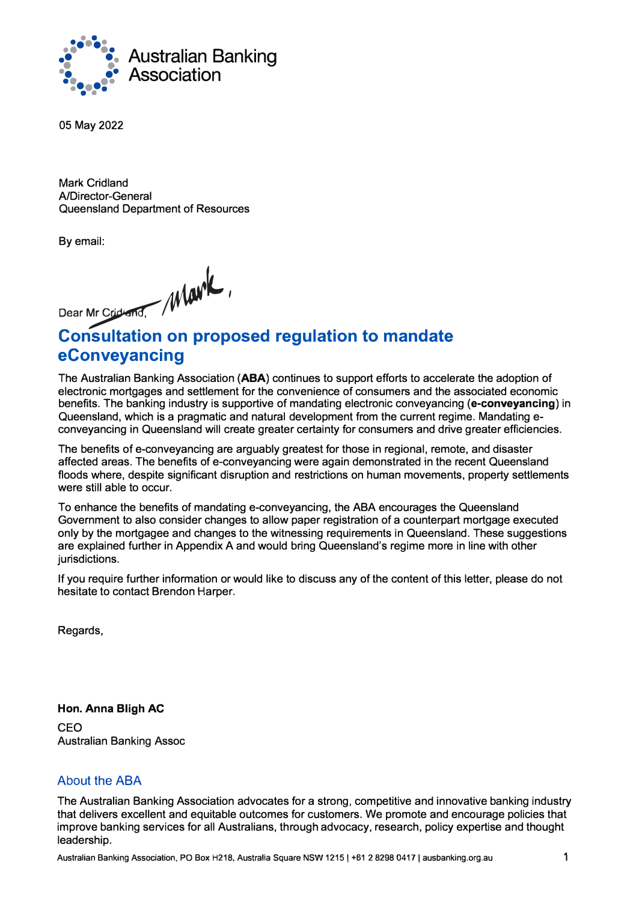

05 May 2022

**Mark** Cridland A/Director-General Queensland Department of Resources

By email:

Dear Mr Cridward Mark

# **Consultation on proposed regulation to mandate eConveyancing**

The Australian Banking Association **(ABA)** continues to support efforts to accelerate the adoption of electronic mortgages and settlement for the convenience of consumers and the associated economic benefits. The banking industry is supportive of mandating electronic conveyancing **(e-conveyancing)** in Queensland, which is a pragmatic and natural development from the current regime. Mandating econveyancing in Queensland will create greater certainty for consumers and drive greater efficiencies.

The benefits of e-conveyancing are arguably greatest for those in regional, remote, and disaster affected areas. The benefits of e-conveyancing were again demonstrated in the recent Queensland floods where, despite significant disruption and restrictions on human movements, property settlements were still able to occur.

To enhance the benefits of mandating e-conveyancing, the ABA encourages the Queensland Government to also consider changes to allow paper registration of a counterpart mortgage executed only by the mortgagee and changes to the witnessing requirements in Queensland. These suggestions are explained further in Appendix A and would bring Queensland's regime more in line with other jurisdictions.

If you require further information or would like to discuss any of the content of this letter, please do not hesitate to contact Brendon Harper.

Regards,

**Hon. Anna Bligh AC**  CEO Australian Banking Assoc

### About the ABA

The Australian Banking Association advocates for a strong, competitive and innovative banking industry that delivers excellent and equitable outcomes for customers. We promote and encourage policies that improve banking services for all Australians, through advocacy, research, policy expertise and thought leadership.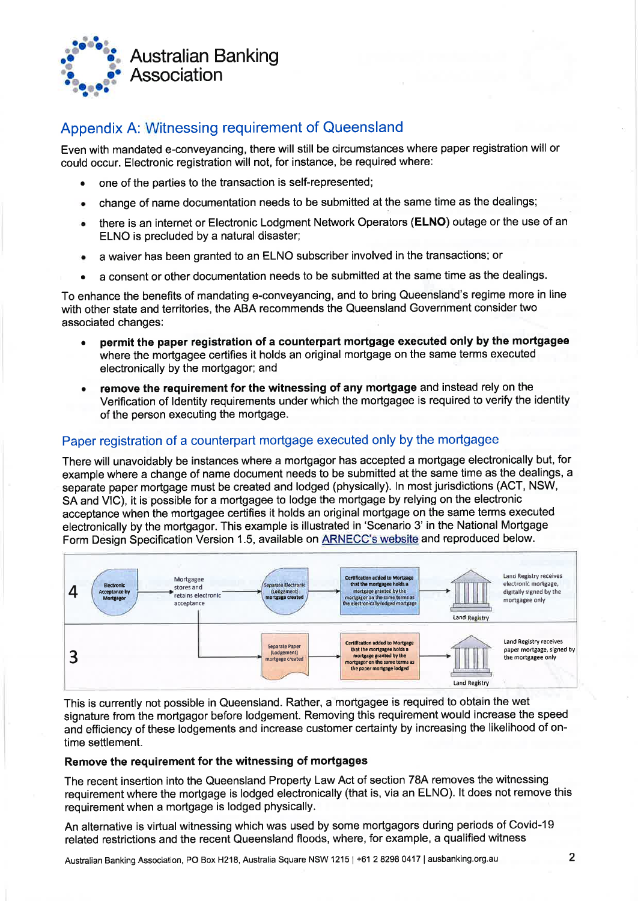

## Appendix A: Witnessing requirement of Queensland

Even with mandated e-conveyancing, there will still be circumstances where paper registration will or could occur. Electronic registration will not, for instance, be required where:

- one of the parties to the transaction is self-represented;
- change of name documentation needs to be submitted at the same time as the dealings; ۰
- there is an internet or Electronic Lodgment Network Operators (ELNO) outage or the use of an  $\bullet$ ELNO is precluded by a natural disaster;
- a waiver has been granted to an ELNO subscriber involved in the transactions; or ×
- a consent or other documentation needs to be submitted at the same time as the dealings.

To enhance the benefits of mandating e-conveyancing, and to bring Queensland's regime more in line with other state and territories, the ABA recommends the Queensland Government consider two associated changes:

- permit the paper registration of a counterpart mortgage executed only by the mortgagee  $\bullet$ where the mortgagee certifies it holds an original mortgage on the same terms executed electronically by the mortgagor; and
- remove the requirement for the witnessing of any mortgage and instead rely on the  $\bullet$ Verification of Identity requirements under which the mortgagee is required to verify the identity of the person executing the mortgage.

### Paper registration of a counterpart mortgage executed only by the mortgagee

There will unavoidably be instances where a mortgagor has accepted a mortgage electronically but, for example where a change of name document needs to be submitted at the same time as the dealings, a separate paper mortgage must be created and lodged (physically). In most jurisdictions (ACT, NSW, SA and VIC), it is possible for a mortgagee to lodge the mortgage by relying on the electronic acceptance when the mortgagee certifies it holds an original mortgage on the same terms executed electronically by the mortgagor. This example is illustrated in 'Scenario 3' in the National Mortgage Form Design Specification Version 1.5, available on **ARNECC's website and reproduced below**.



This is currently not possible in Queensland. Rather, a mortgagee is required to obtain the wet signature from the mortgagor before lodgement. Removing this requirement would increase the speed and efficiency of these lodgements and increase customer certainty by increasing the likelihood of ontime settlement.

#### Remove the requirement for the witnessing of mortgages

The recent insertion into the Queensland Property Law Act of section 78A removes the witnessing requirement where the mortgage is lodged electronically (that is, via an ELNO). It does not remove this requirement when a mortgage is lodged physically.

An alternative is virtual witnessing which was used by some mortgagors during periods of Covid-19 related restrictions and the recent Queensland floods, where, for example, a qualified witness

Australian Banking Association, PO Box H218, Australia Square NSW 1215 | +61 2 8298 0417 | ausbanking.org.au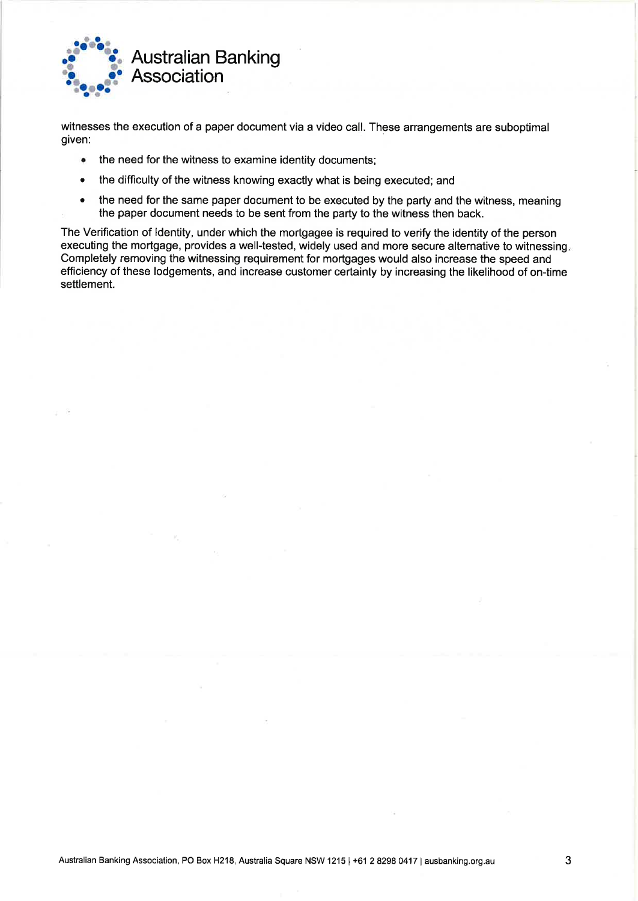

witnesses the execution of a paper document via a video call. These arrangements are suboptimal given:

- the need for the witness to examine identity documents;  $\bullet$
- the difficulty of the witness knowing exactly what is being executed; and  $\bullet$
- the need for the same paper document to be executed by the party and the witness, meaning  $\bullet$ the paper document needs to be sent from the party to the witness then back.

The Verification of Identity, under which the mortgagee is required to verify the identity of the person executing the mortgage, provides a well-tested, widely used and more secure alternative to witnessing. Completely removing the witnessing requirement for mortgages would also increase the speed and efficiency of these lodgements, and increase customer certainty by increasing the likelihood of on-time settlement.